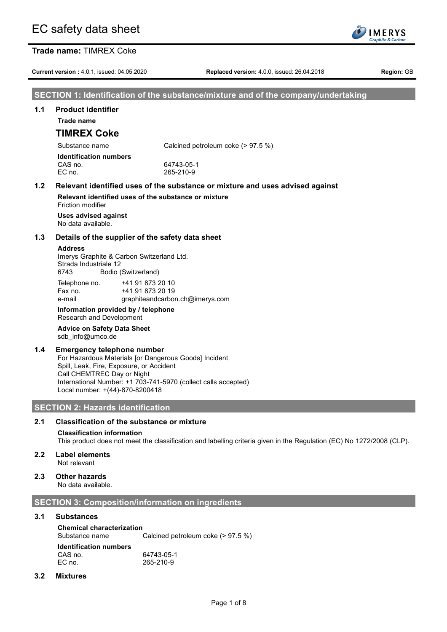**Current version :** 4.0.1, issued: 04.05.2020 **Replaced version:** 4.0.0, issued: 26.04.2018 **Region:** GB

**IMERYS** raphite & Carbe

### **SECTION 1: Identification of the substance/mixture and of the company/undertaking**

#### **1.1 Product identifier**

**Trade name**

# **TIMREX Coke**

Substance name Calcined petroleum coke (> 97.5 %)

| <b>Identification numbers</b> |  |
|-------------------------------|--|
| CAS no.                       |  |
| EC no.                        |  |
|                               |  |

### **1.2 Relevant identified uses of the substance or mixture and uses advised against**

64743-05-1 EC no. 265-210-9

**Relevant identified uses of the substance or mixture** Friction modifier

**Uses advised against** No data available.

#### **1.3 Details of the supplier of the safety data sheet**

#### **Address**

Imerys Graphite & Carbon Switzerland Ltd. Strada Industriale 12 6743 Bodio (Switzerland)

Telephone no. +41 91 873 20 10 Fax no. +41 91 873 20 19 e-mail graphiteandcarbon.ch@imerys.com

#### **Information provided by / telephone** Research and Development

### **Advice on Safety Data Sheet** sdb\_info@umco.de

### **1.4 Emergency telephone number**

For Hazardous Materials [or Dangerous Goods] Incident Spill, Leak, Fire, Exposure, or Accident Call CHEMTREC Day or Night International Number: +1 703-741-5970 (collect calls accepted) Local number: +(44)-870-8200418

## **SECTION 2: Hazards identification**

## **2.1 Classification of the substance or mixture**

### **Classification information**

This product does not meet the classification and labelling criteria given in the Regulation (EC) No 1272/2008 (CLP).

- **2.2 Label elements** Not relevant
- **2.3 Other hazards**

No data available.

### **SECTION 3: Composition/information on ingredients**

### **3.1 Substances**

**Chemical characterization**

Substance name Calcined petroleum coke (> 97.5 %)

**Identification numbers** CAS no. 64743-05-1<br>EC no. 265-210-9 EC no. 265-210-9

#### **3.2 Mixtures**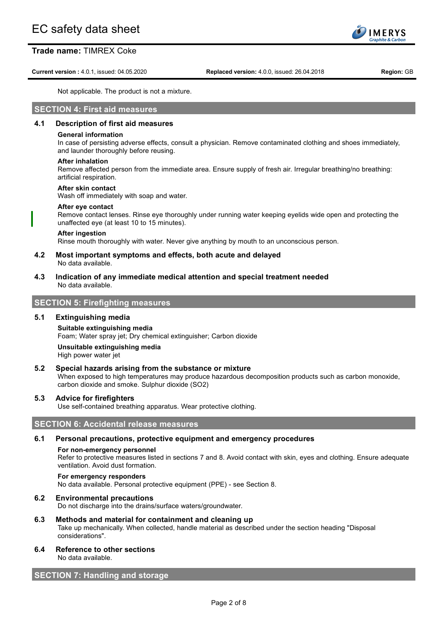**Current version :** 4.0.1, issued: 04.05.2020 **Replaced version:** 4.0.0, issued: 26.04.2018 **Region:** GB

Not applicable. The product is not a mixture.

### **SECTION 4: First aid measures**

### **4.1 Description of first aid measures**

#### **General information**

In case of persisting adverse effects, consult a physician. Remove contaminated clothing and shoes immediately, and launder thoroughly before reusing.

#### **After inhalation**

Remove affected person from the immediate area. Ensure supply of fresh air. Irregular breathing/no breathing: artificial respiration.

#### **After skin contact**

Wash off immediately with soap and water.

# **After eye contact**

Remove contact lenses. Rinse eye thoroughly under running water keeping eyelids wide open and protecting the unaffected eye (at least 10 to 15 minutes).

#### **After ingestion**

Rinse mouth thoroughly with water. Never give anything by mouth to an unconscious person.

#### **4.2 Most important symptoms and effects, both acute and delayed** No data available.

**4.3 Indication of any immediate medical attention and special treatment needed** No data available.

#### **SECTION 5: Firefighting measures**

#### **5.1 Extinguishing media**

### **Suitable extinguishing media** Foam; Water spray jet; Dry chemical extinguisher; Carbon dioxide **Unsuitable extinguishing media**

High power water jet

#### **5.2 Special hazards arising from the substance or mixture**

When exposed to high temperatures may produce hazardous decomposition products such as carbon monoxide, carbon dioxide and smoke. Sulphur dioxide (SO2)

#### **5.3 Advice for firefighters**

Use self-contained breathing apparatus. Wear protective clothing.

# **SECTION 6: Accidental release measures**

# **6.1 Personal precautions, protective equipment and emergency procedures**

#### **For non-emergency personnel**

Refer to protective measures listed in sections 7 and 8. Avoid contact with skin, eyes and clothing. Ensure adequate ventilation. Avoid dust formation.

#### **For emergency responders**

No data available. Personal protective equipment (PPE) - see Section 8.

#### **6.2 Environmental precautions**

Do not discharge into the drains/surface waters/groundwater.

#### **6.3 Methods and material for containment and cleaning up**

Take up mechanically. When collected, handle material as described under the section heading "Disposal considerations".

**6.4 Reference to other sections**

No data available.

### **SECTION 7: Handling and storage**

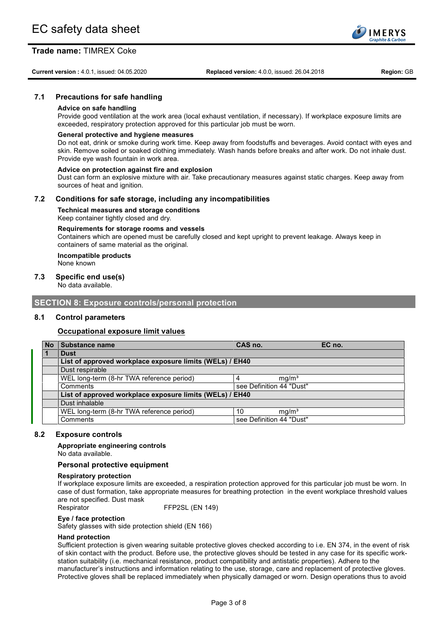**Current version :** 4.0.1, issued: 04.05.2020 **Replaced version:** 4.0.0, issued: 26.04.2018 **Region:** GB

# **7.1 Precautions for safe handling**

## **Advice on safe handling**

Provide good ventilation at the work area (local exhaust ventilation, if necessary). If workplace exposure limits are exceeded, respiratory protection approved for this particular job must be worn.

#### **General protective and hygiene measures**

Do not eat, drink or smoke during work time. Keep away from foodstuffs and beverages. Avoid contact with eyes and skin. Remove soiled or soaked clothing immediately. Wash hands before breaks and after work. Do not inhale dust. Provide eye wash fountain in work area.

#### **Advice on protection against fire and explosion**

Dust can form an explosive mixture with air. Take precautionary measures against static charges. Keep away from sources of heat and ignition.

#### **7.2 Conditions for safe storage, including any incompatibilities**

#### **Technical measures and storage conditions** Keep container tightly closed and dry.

#### **Requirements for storage rooms and vessels**

Containers which are opened must be carefully closed and kept upright to prevent leakage. Always keep in containers of same material as the original.

#### **Incompatible products** None known

#### **7.3 Specific end use(s)**

No data available.

#### **SECTION 8: Exposure controls/personal protection**

#### **8.1 Control parameters**

#### **Occupational exposure limit values**

| <b>No</b> | Substance name                                           | CAS no.                  |                   | EC no. |
|-----------|----------------------------------------------------------|--------------------------|-------------------|--------|
|           | <b>Dust</b>                                              |                          |                   |        |
|           | List of approved workplace exposure limits (WELs) / EH40 |                          |                   |        |
|           | Dust respirable                                          |                          |                   |        |
|           | WEL long-term (8-hr TWA reference period)                |                          | mq/m <sup>3</sup> |        |
|           | Comments                                                 | see Definition 44 "Dust" |                   |        |
|           | List of approved workplace exposure limits (WELs) / EH40 |                          |                   |        |
|           | Dust inhalable                                           |                          |                   |        |
|           | WEL long-term (8-hr TWA reference period)                | 10                       | mq/m <sup>3</sup> |        |
|           | Comments                                                 | see Definition 44 "Dust" |                   |        |

#### **8.2 Exposure controls**

**Appropriate engineering controls**

No data available.

#### **Personal protective equipment**

#### **Respiratory protection**

If workplace exposure limits are exceeded, a respiration protection approved for this particular job must be worn. In case of dust formation, take appropriate measures for breathing protection in the event workplace threshold values are not specified. Dust mask

Respirator FFP2SL (EN 149)

#### **Eye / face protection**

Safety glasses with side protection shield (EN 166)

#### **Hand protection**

Sufficient protection is given wearing suitable protective gloves checked according to i.e. EN 374, in the event of risk of skin contact with the product. Before use, the protective gloves should be tested in any case for its specific workstation suitability (i.e. mechanical resistance, product compatibility and antistatic properties). Adhere to the manufacturer's instructions and information relating to the use, storage, care and replacement of protective gloves. Protective gloves shall be replaced immediately when physically damaged or worn. Design operations thus to avoid

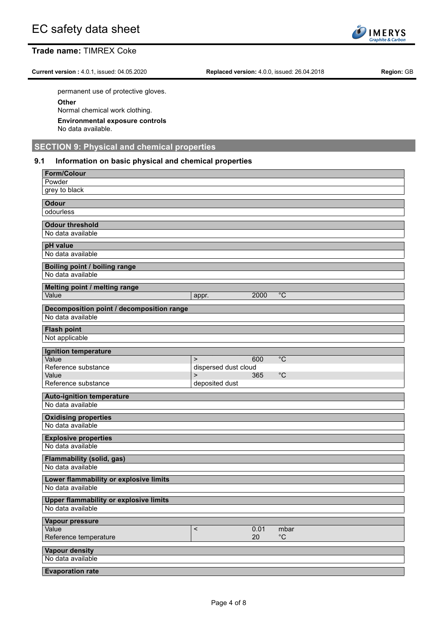**Current version :** 4.0.1, issued: 04.05.2020 **Replaced version:** 4.0.0, issued: 26.04.2018 **Region:** GB

permanent use of protective gloves.

**Other**

Normal chemical work clothing.

**Environmental exposure controls**

No data available.

# **SECTION 9: Physical and chemical properties**

## **9.1 Information on basic physical and chemical properties**

| <b>Form/Colour</b><br>Powder                                       |                                      |            |                           |
|--------------------------------------------------------------------|--------------------------------------|------------|---------------------------|
| grey to black                                                      |                                      |            |                           |
| <b>Odour</b>                                                       |                                      |            |                           |
| odourless                                                          |                                      |            |                           |
| <b>Odour threshold</b><br>No data available                        |                                      |            |                           |
| pH value                                                           |                                      |            |                           |
| No data available                                                  |                                      |            |                           |
| Boiling point / boiling range                                      |                                      |            |                           |
| No data available                                                  |                                      |            |                           |
| Melting point / melting range<br>Value                             | appr.                                | 2000       | $^{\circ}C$               |
| Decomposition point / decomposition range                          |                                      |            |                           |
| No data available                                                  |                                      |            |                           |
| <b>Flash point</b>                                                 |                                      |            |                           |
| Not applicable                                                     |                                      |            |                           |
| Ignition temperature                                               |                                      |            |                           |
| Value<br>Reference substance                                       | $\mathbf{L}$<br>dispersed dust cloud | 600        | $\overline{C}$            |
| Value                                                              | $\mathbf{L}$                         | 365        | $^{\circ}C$               |
| Reference substance                                                | deposited dust                       |            |                           |
| <b>Auto-ignition temperature</b>                                   |                                      |            |                           |
| No data available                                                  |                                      |            |                           |
| <b>Oxidising properties</b>                                        |                                      |            |                           |
| No data available                                                  |                                      |            |                           |
| <b>Explosive properties</b><br>No data available                   |                                      |            |                           |
| <b>Flammability (solid, gas)</b>                                   |                                      |            |                           |
| No data available                                                  |                                      |            |                           |
| Lower flammability or explosive limits                             |                                      |            |                           |
| No data available                                                  |                                      |            |                           |
| <b>Upper flammability or explosive limits</b><br>No data available |                                      |            |                           |
| Vapour pressure                                                    |                                      |            |                           |
| Value<br>Reference temperature                                     | $\,<$                                | 0.01<br>20 | mbar<br>$^{\circ}{\rm C}$ |
| <b>Vapour density</b>                                              |                                      |            |                           |
| No data available                                                  |                                      |            |                           |
| <b>Evaporation rate</b>                                            |                                      |            |                           |

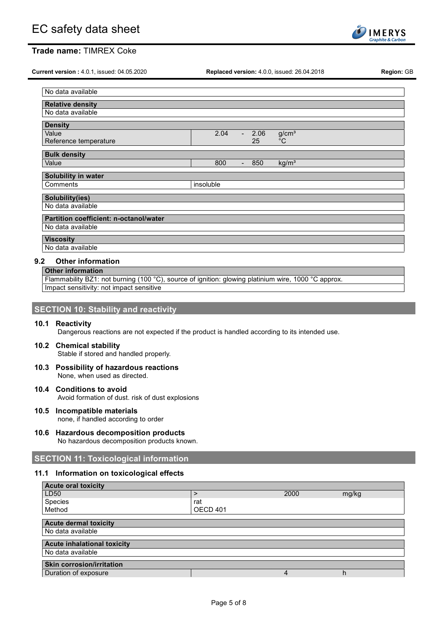

**Current version :** 4.0.1, issued: 04.05.2020 **Replaced version:** 4.0.0, issued: 26.04.2018 **Region:** GB

| No data available                                            |  |  |  |
|--------------------------------------------------------------|--|--|--|
|                                                              |  |  |  |
| <b>Relative density</b>                                      |  |  |  |
| No data available                                            |  |  |  |
|                                                              |  |  |  |
| <b>Density</b>                                               |  |  |  |
| Value<br>2.04<br>g/cm <sup>3</sup><br>2.06<br>$\blacksquare$ |  |  |  |
| $^{\circ}$ C<br>Reference temperature<br>25                  |  |  |  |
|                                                              |  |  |  |
| <b>Bulk density</b>                                          |  |  |  |
| kg/m <sup>3</sup><br>Value<br>800<br>850<br>$\blacksquare$   |  |  |  |
|                                                              |  |  |  |
| Solubility in water                                          |  |  |  |
| Comments<br>insoluble                                        |  |  |  |
|                                                              |  |  |  |
| <b>Solubility(ies)</b>                                       |  |  |  |
| No data available                                            |  |  |  |
| Partition coefficient: n-octanol/water                       |  |  |  |
|                                                              |  |  |  |
| No data available                                            |  |  |  |
| <b>Viscosity</b>                                             |  |  |  |
| No data available                                            |  |  |  |
|                                                              |  |  |  |

# **9.2 Other information**

**Other information** Flammability BZ1: not burning (100 °C), source of ignition: glowing platinium wire, 1000 °C approx. Impact sensitivity: not impact sensitive

| <b>SECTION 10: Stability and reactivity</b> |  |  |  |
|---------------------------------------------|--|--|--|
|---------------------------------------------|--|--|--|

#### **10.1 Reactivity**

Dangerous reactions are not expected if the product is handled according to its intended use.

#### **10.2 Chemical stability** Stable if stored and handled properly.

- **10.3 Possibility of hazardous reactions** None, when used as directed.
- **10.4 Conditions to avoid** Avoid formation of dust. risk of dust explosions
- **10.5 Incompatible materials** none, if handled according to order
- **10.6 Hazardous decomposition products** No hazardous decomposition products known.

# **SECTION 11: Toxicological information**

#### **11.1 Information on toxicological effects**

| <b>Acute oral toxicity</b>         |          |      |       |
|------------------------------------|----------|------|-------|
| LD50                               |          | 2000 | mg/kg |
| Species                            | rat      |      |       |
| Method                             | OECD 401 |      |       |
|                                    |          |      |       |
| <b>Acute dermal toxicity</b>       |          |      |       |
| No data available                  |          |      |       |
| <b>Acute inhalational toxicity</b> |          |      |       |
| No data available                  |          |      |       |
| <b>Skin corrosion/irritation</b>   |          |      |       |
| Duration of exposure               |          | 4    | h     |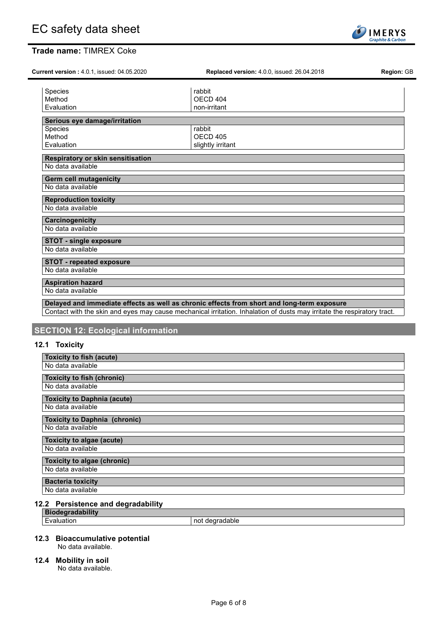| Current version: 4.0.1, issued: 04.05.2020 | <b>Replaced version: 4.0.0, issued: 26.04.2018</b> | Region: GB |
|--------------------------------------------|----------------------------------------------------|------------|
| Species                                    | rabbit                                             |            |
| Method                                     | OECD 404                                           |            |
| Evaluation                                 | non-irritant                                       |            |
| Serious eye damage/irritation              |                                                    |            |
| <b>Species</b>                             | rabbit                                             |            |
| Method                                     | OECD <sub>405</sub>                                |            |
| Evaluation                                 | slightly irritant                                  |            |
| Respiratory or skin sensitisation          |                                                    |            |
| No data available                          |                                                    |            |
| <b>Germ cell mutagenicity</b>              |                                                    |            |
| No data available                          |                                                    |            |
| <b>Reproduction toxicity</b>               |                                                    |            |
| No data available                          |                                                    |            |
| Carcinogenicity                            |                                                    |            |
| No data available                          |                                                    |            |
| <b>STOT - single exposure</b>              |                                                    |            |
| No data available                          |                                                    |            |
| <b>STOT - repeated exposure</b>            |                                                    |            |
| No data available                          |                                                    |            |
| <b>Aspiration hazard</b>                   |                                                    |            |
| No data available                          |                                                    |            |

Contact with the skin and eyes may cause mechanical irritation. Inhalation of dusts may irritate the respiratory tract.

# **SECTION 12: Ecological information**

# **12.1 Toxicity**

| <b>Toxicity to fish (acute)</b>      |
|--------------------------------------|
| No data available                    |
| <b>Toxicity to fish (chronic)</b>    |
| No data available                    |
| <b>Toxicity to Daphnia (acute)</b>   |
| No data available                    |
| <b>Toxicity to Daphnia (chronic)</b> |
| No data available                    |
| Toxicity to algae (acute)            |
| No data available                    |
| <b>Toxicity to algae (chronic)</b>   |
| No data available                    |
| <b>Bacteria toxicity</b>             |
| No data available                    |

# **12.2 Persistence and degradability**

**Biodegradability**<br> **Evaluation** 

not degradable

### **12.3 Bioaccumulative potential**

No data available.

## **12.4 Mobility in soil**

No data available.

 $\overline{a}$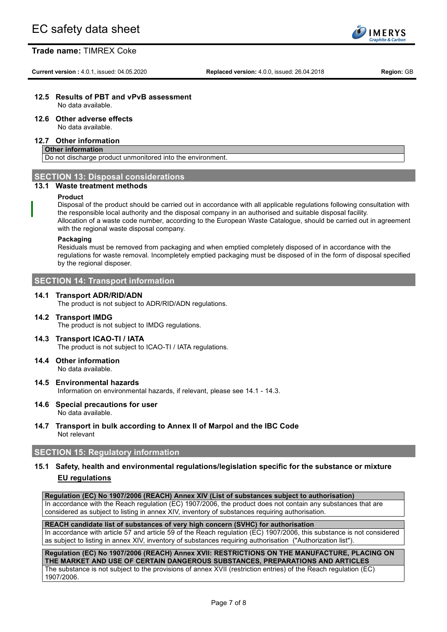**Current version :** 4.0.1, issued: 04.05.2020 **Replaced version:** 4.0.0, issued: 26.04.2018 **Region:** GB

**IMERYS** aphite & Carl

# **12.5 Results of PBT and vPvB assessment**

No data available.

# **12.6 Other adverse effects**

No data available.

#### **12.7 Other information**

#### **Other information**

Do not discharge product unmonitored into the environment.

### **SECTION 13: Disposal considerations**

#### **13.1 Waste treatment methods**

#### **Product**

Disposal of the product should be carried out in accordance with all applicable regulations following consultation with the responsible local authority and the disposal company in an authorised and suitable disposal facility. Allocation of a waste code number, according to the European Waste Catalogue, should be carried out in agreement with the regional waste disposal company.

#### **Packaging**

Residuals must be removed from packaging and when emptied completely disposed of in accordance with the regulations for waste removal. Incompletely emptied packaging must be disposed of in the form of disposal specified by the regional disposer.

### **SECTION 14: Transport information**

#### **14.1 Transport ADR/RID/ADN**

The product is not subject to ADR/RID/ADN regulations.

#### **14.2 Transport IMDG** The product is not subject to IMDG regulations.

- **14.3 Transport ICAO-TI / IATA** The product is not subject to ICAO-TI / IATA regulations.
- **14.4 Other information** No data available.
- **14.5 Environmental hazards** Information on environmental hazards, if relevant, please see 14.1 - 14.3.
- **14.6 Special precautions for user** No data available.
- **14.7 Transport in bulk according to Annex II of Marpol and the IBC Code** Not relevant

# **SECTION 15: Regulatory information**

# **15.1 Safety, health and environmental regulations/legislation specific for the substance or mixture EU regulations**

**Regulation (EC) No 1907/2006 (REACH) Annex XIV (List of substances subject to authorisation)** In accordance with the Reach regulation (EC) 1907/2006, the product does not contain any substances that are

# considered as subject to listing in annex XIV, inventory of substances requiring authorisation. **REACH candidate list of substances of very high concern (SVHC) for authorisation**

In accordance with article 57 and article 59 of the Reach regulation (EC) 1907/2006, this substance is not considered as subject to listing in annex XIV, inventory of substances requiring authorisation ("Authorization list").

#### **Regulation (EC) No 1907/2006 (REACH) Annex XVII: RESTRICTIONS ON THE MANUFACTURE, PLACING ON THE MARKET AND USE OF CERTAIN DANGEROUS SUBSTANCES, PREPARATIONS AND ARTICLES**

The substance is not subject to the provisions of annex XVII (restriction entries) of the Reach regulation (EC) 1907/2006.